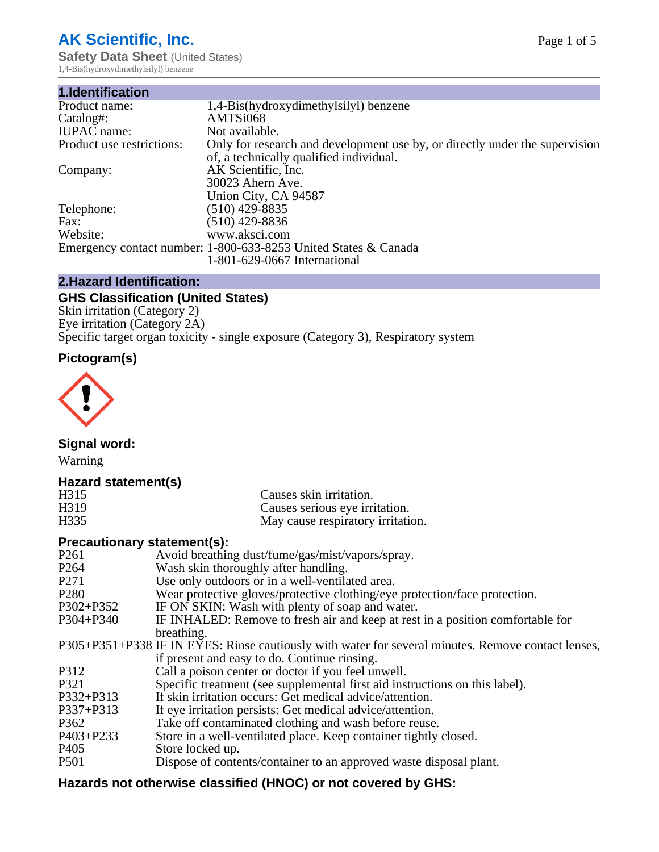# **AK Scientific, Inc.**

**Safety Data Sheet (United States)** 1,4-Bis(hydroxydimethylsilyl) benzene

| 1.Identification          |                                                                                                                        |
|---------------------------|------------------------------------------------------------------------------------------------------------------------|
| Product name:             | 1,4-Bis(hydroxydimethylsilyl) benzene                                                                                  |
| Catalog#:                 | AMTSi068                                                                                                               |
| <b>IUPAC</b> name:        | Not available.                                                                                                         |
| Product use restrictions: | Only for research and development use by, or directly under the supervision<br>of, a technically qualified individual. |
| Company:                  | AK Scientific, Inc.<br>30023 Ahern Ave.                                                                                |
|                           | Union City, CA 94587                                                                                                   |
| Telephone:                | $(510)$ 429-8835                                                                                                       |
| Fax:                      | (510) 429-8836                                                                                                         |
| Website:                  | www.aksci.com                                                                                                          |
|                           | Emergency contact number: 1-800-633-8253 United States & Canada                                                        |
|                           | 1-801-629-0667 International                                                                                           |

# **2.Hazard Identification:**

# **GHS Classification (United States)**

Skin irritation (Category 2) Eye irritation (Category 2A) Specific target organ toxicity - single exposure (Category 3), Respiratory system

# **Pictogram(s)**



**Signal word:**

Warning

# **Hazard statement(s)**

| H315             | Causes skin irritation.           |
|------------------|-----------------------------------|
| H <sub>319</sub> | Causes serious eye irritation.    |
| H335             | May cause respiratory irritation. |

## **Precautionary statement(s):**

| P <sub>261</sub> | Avoid breathing dust/fume/gas/mist/vapors/spray.                                                   |
|------------------|----------------------------------------------------------------------------------------------------|
| P <sub>264</sub> | Wash skin thoroughly after handling.                                                               |
| P <sub>271</sub> | Use only outdoors or in a well-ventilated area.                                                    |
| P <sub>280</sub> | Wear protective gloves/protective clothing/eye protection/face protection.                         |
| P302+P352        | IF ON SKIN: Wash with plenty of soap and water.                                                    |
| $P304 + P340$    | IF INHALED: Remove to fresh air and keep at rest in a position comfortable for                     |
|                  | breathing.                                                                                         |
|                  | P305+P351+P338 IF IN EYES: Rinse cautiously with water for several minutes. Remove contact lenses, |
|                  | if present and easy to do. Continue rinsing.                                                       |
| P312             | Call a poison center or doctor if you feel unwell.                                                 |
| P321             | Specific treatment (see supplemental first aid instructions on this label).                        |
| P332+P313        | If skin irritation occurs: Get medical advice/attention.                                           |
| P337+P313        | If eye irritation persists: Get medical advice/attention.                                          |
| P362             | Take off contaminated clothing and wash before reuse.                                              |
| $P403 + P233$    | Store in a well-ventilated place. Keep container tightly closed.                                   |
| P <sub>405</sub> | Store locked up.                                                                                   |
| P <sub>501</sub> | Dispose of contents/container to an approved waste disposal plant.                                 |
|                  |                                                                                                    |

# **Hazards not otherwise classified (HNOC) or not covered by GHS:**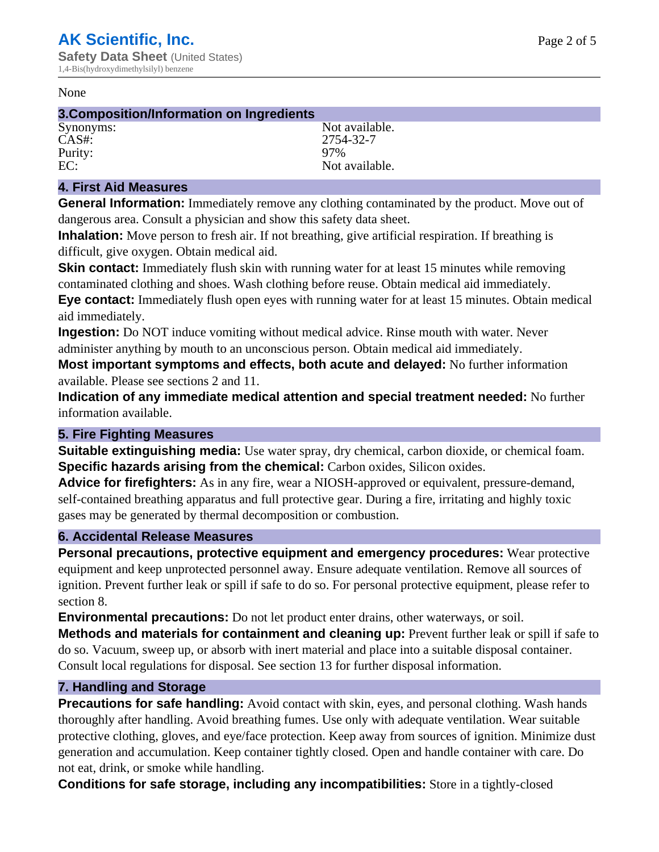#### None

#### **3.Composition/Information on Ingredients**

CAS#: 2754-32-7<br>Purity: 2754-32-7 Purity:<br>EC:

Synonyms: Not available. Not available.

## **4. First Aid Measures**

**General Information:** Immediately remove any clothing contaminated by the product. Move out of dangerous area. Consult a physician and show this safety data sheet.

**Inhalation:** Move person to fresh air. If not breathing, give artificial respiration. If breathing is difficult, give oxygen. Obtain medical aid.

**Skin contact:** Immediately flush skin with running water for at least 15 minutes while removing contaminated clothing and shoes. Wash clothing before reuse. Obtain medical aid immediately. **Eye contact:** Immediately flush open eyes with running water for at least 15 minutes. Obtain medical aid immediately.

**Ingestion:** Do NOT induce vomiting without medical advice. Rinse mouth with water. Never administer anything by mouth to an unconscious person. Obtain medical aid immediately.

**Most important symptoms and effects, both acute and delayed:** No further information available. Please see sections 2 and 11.

**Indication of any immediate medical attention and special treatment needed:** No further information available.

## **5. Fire Fighting Measures**

**Suitable extinguishing media:** Use water spray, dry chemical, carbon dioxide, or chemical foam. **Specific hazards arising from the chemical:** Carbon oxides, Silicon oxides.

**Advice for firefighters:** As in any fire, wear a NIOSH-approved or equivalent, pressure-demand, self-contained breathing apparatus and full protective gear. During a fire, irritating and highly toxic gases may be generated by thermal decomposition or combustion.

## **6. Accidental Release Measures**

**Personal precautions, protective equipment and emergency procedures:** Wear protective equipment and keep unprotected personnel away. Ensure adequate ventilation. Remove all sources of ignition. Prevent further leak or spill if safe to do so. For personal protective equipment, please refer to section 8.

**Environmental precautions:** Do not let product enter drains, other waterways, or soil.

**Methods and materials for containment and cleaning up:** Prevent further leak or spill if safe to do so. Vacuum, sweep up, or absorb with inert material and place into a suitable disposal container. Consult local regulations for disposal. See section 13 for further disposal information.

## **7. Handling and Storage**

**Precautions for safe handling:** Avoid contact with skin, eyes, and personal clothing. Wash hands thoroughly after handling. Avoid breathing fumes. Use only with adequate ventilation. Wear suitable protective clothing, gloves, and eye/face protection. Keep away from sources of ignition. Minimize dust generation and accumulation. Keep container tightly closed. Open and handle container with care. Do not eat, drink, or smoke while handling.

**Conditions for safe storage, including any incompatibilities:** Store in a tightly-closed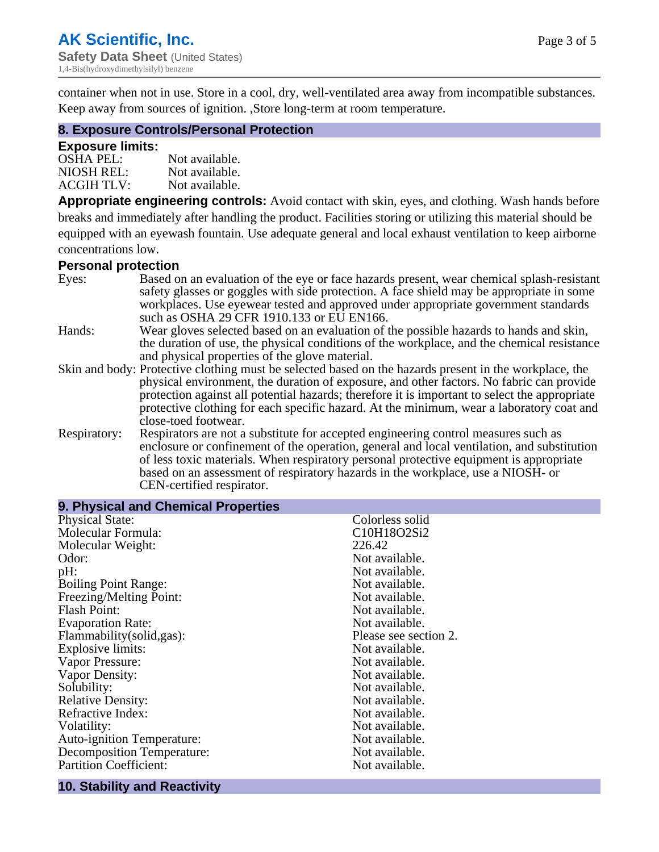Page 3 of 5

container when not in use. Store in a cool, dry, well-ventilated area away from incompatible substances. Keep away from sources of ignition. ,Store long-term at room temperature.

## **8. Exposure Controls/Personal Protection**

#### **Exposure limits:**

| <b>OSHA PEL:</b>  | Not available. |
|-------------------|----------------|
| NIOSH REL:        | Not available. |
| <b>ACGIH TLV:</b> | Not available. |

**Appropriate engineering controls:** Avoid contact with skin, eyes, and clothing. Wash hands before breaks and immediately after handling the product. Facilities storing or utilizing this material should be equipped with an eyewash fountain. Use adequate general and local exhaust ventilation to keep airborne concentrations low.

#### **Personal protection**

| Eyes:        | Based on an evaluation of the eye or face hazards present, wear chemical splash-resistant<br>safety glasses or goggles with side protection. A face shield may be appropriate in some |
|--------------|---------------------------------------------------------------------------------------------------------------------------------------------------------------------------------------|
|              | workplaces. Use eyewear tested and approved under appropriate government standards<br>such as OSHA 29 CFR 1910.133 or EU EN166.                                                       |
| Hands:       | Wear gloves selected based on an evaluation of the possible hazards to hands and skin,                                                                                                |
|              | the duration of use, the physical conditions of the workplace, and the chemical resistance                                                                                            |
|              | and physical properties of the glove material.                                                                                                                                        |
|              | Skin and body: Protective clothing must be selected based on the hazards present in the workplace, the                                                                                |
|              | physical environment, the duration of exposure, and other factors. No fabric can provide                                                                                              |
|              | protection against all potential hazards; therefore it is important to select the appropriate                                                                                         |
|              | protective clothing for each specific hazard. At the minimum, wear a laboratory coat and                                                                                              |
|              | close-toed footwear.                                                                                                                                                                  |
| Respiratory: | Respirators are not a substitute for accepted engineering control measures such as<br>enclosure or confinement of the operation, general and local ventilation, and substitution      |
|              | of less toxic materials. When respiratory personal protective equipment is appropriate                                                                                                |
|              | based on an assessment of respiratory hazards in the workplace, use a NIOSH- or                                                                                                       |
|              | CEN-certified respirator.                                                                                                                                                             |

| 9. Physical and Chemical Properties |                       |
|-------------------------------------|-----------------------|
| <b>Physical State:</b>              | Colorless solid       |
| Molecular Formula:                  | C10H18O2Si2           |
| Molecular Weight:                   | 226.42                |
| Odor:                               | Not available.        |
| pH:                                 | Not available.        |
| <b>Boiling Point Range:</b>         | Not available.        |
| Freezing/Melting Point:             | Not available.        |
| <b>Flash Point:</b>                 | Not available.        |
| <b>Evaporation Rate:</b>            | Not available.        |
| Flammability(solid,gas):            | Please see section 2. |
| <b>Explosive limits:</b>            | Not available.        |
| Vapor Pressure:                     | Not available.        |
| Vapor Density:                      | Not available.        |
| Solubility:                         | Not available.        |
| <b>Relative Density:</b>            | Not available.        |
| Refractive Index:                   | Not available.        |
| Volatility:                         | Not available.        |
| <b>Auto-ignition Temperature:</b>   | Not available.        |
| Decomposition Temperature:          | Not available.        |
| <b>Partition Coefficient:</b>       | Not available.        |

#### **10. Stability and Reactivity**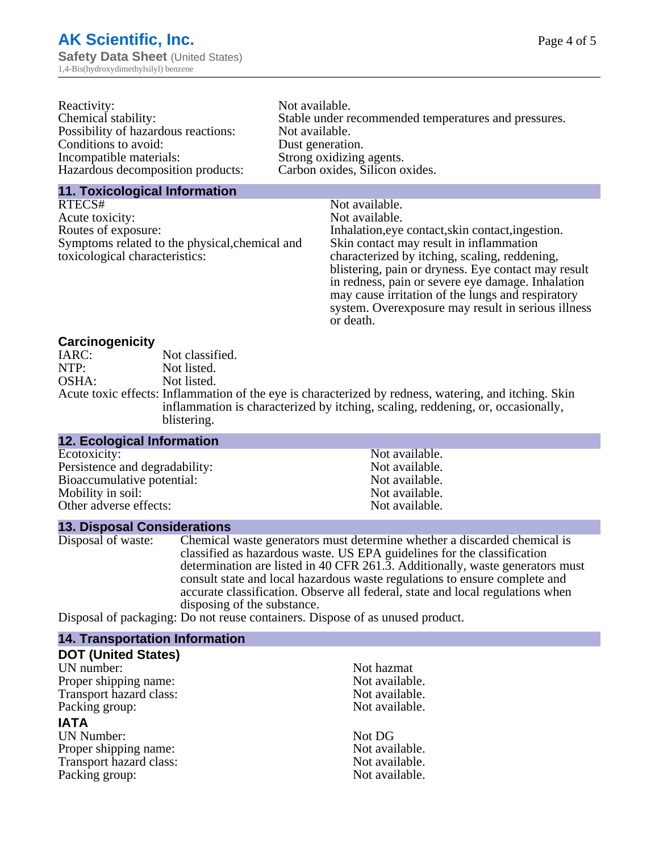| Reactivity:                         | Not available.                                       |
|-------------------------------------|------------------------------------------------------|
| Chemical stability:                 | Stable under recommended temperatures and pressures. |
| Possibility of hazardous reactions: | Not available.                                       |
| Conditions to avoid:                | Dust generation.                                     |
| Incompatible materials:             | Strong oxidizing agents.                             |
| Hazardous decomposition products:   | Carbon oxides, Silicon oxides.                       |
|                                     |                                                      |

#### **11. Toxicological Information**

| RTECS#                                         | Not available.                                      |
|------------------------------------------------|-----------------------------------------------------|
| Acute toxicity:                                | Not available.                                      |
| Routes of exposure:                            | Inhalation, eye contact, skin contact, ingestion.   |
| Symptoms related to the physical, chemical and | Skin contact may result in inflammation             |
| toxicological characteristics:                 | characterized by itching, scaling, reddening,       |
|                                                | blistering, pain or dryness. Eye contact may result |
|                                                | in redness, pain or severe eye damage. Inhalation   |
|                                                | may cause irritation of the lungs and respiratory   |
|                                                | system. Overexposure may result in serious illness  |

or death.

#### **Carcinogenicity**

| IARC: | Not classified.                                                                                       |
|-------|-------------------------------------------------------------------------------------------------------|
| NTP:  | Not listed.                                                                                           |
| OSHA: | Not listed.                                                                                           |
|       | Acute toxic effects: Inflammation of the eye is characterized by redness, watering, and itching. Skin |
|       | inflammation is characterized by itching, scaling, reddening, or, occasionally,                       |
|       | blistering.                                                                                           |

| <b>12. Ecological Information</b> |                |
|-----------------------------------|----------------|
| Ecotoxicity:                      | Not available. |
| Persistence and degradability:    | Not available. |
| Bioaccumulative potential:        | Not available. |
| Mobility in soil:                 | Not available. |
| Other adverse effects:            | Not available. |

#### **13. Disposal Considerations**

Disposal of waste: Chemical waste generators must determine whether a discarded chemical is classified as hazardous waste. US EPA guidelines for the classification determination are listed in 40 CFR 261.3. Additionally, waste generators must consult state and local hazardous waste regulations to ensure complete and accurate classification. Observe all federal, state and local regulations when disposing of the substance.

Disposal of packaging: Do not reuse containers. Dispose of as unused product.

| <b>14. Transportation Information</b> |                |
|---------------------------------------|----------------|
| <b>DOT (United States)</b>            |                |
| UN number:                            | Not hazmat     |
| Proper shipping name:                 | Not available. |
| Transport hazard class:               | Not available. |
| Packing group:                        | Not available. |
| <b>IATA</b>                           |                |
| <b>UN Number:</b>                     | Not DG         |
| Proper shipping name:                 | Not available. |
| Transport hazard class:               | Not available. |
| Packing group:                        | Not available. |